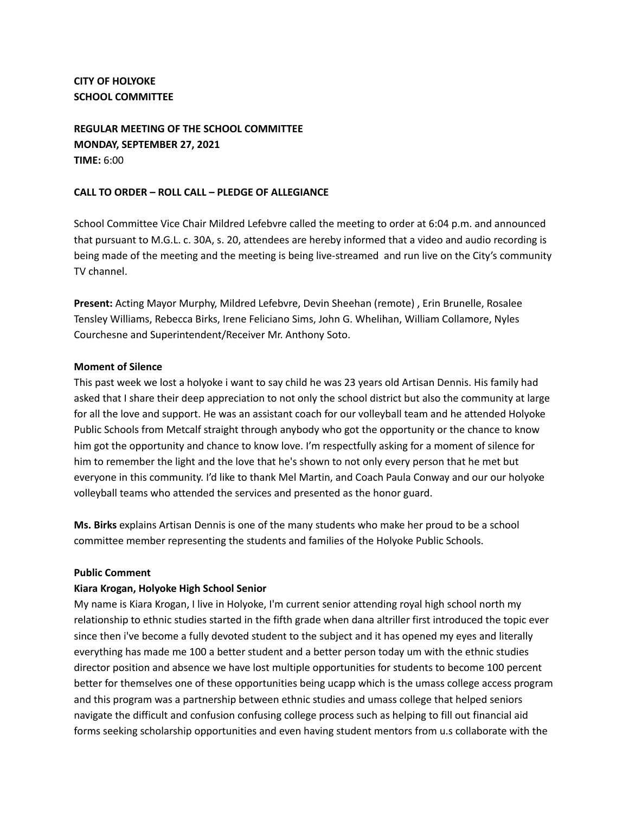**CITY OF HOLYOKE SCHOOL COMMITTEE**

**REGULAR MEETING OF THE SCHOOL COMMITTEE MONDAY, SEPTEMBER 27, 2021 TIME:** 6:00

### **CALL TO ORDER – ROLL CALL – PLEDGE OF ALLEGIANCE**

School Committee Vice Chair Mildred Lefebvre called the meeting to order at 6:04 p.m. and announced that pursuant to M.G.L. c. 30A, s. 20, attendees are hereby informed that a video and audio recording is being made of the meeting and the meeting is being live-streamed and run live on the City's community TV channel.

**Present:** Acting Mayor Murphy, Mildred Lefebvre, Devin Sheehan (remote) , Erin Brunelle, Rosalee Tensley Williams, Rebecca Birks, Irene Feliciano Sims, John G. Whelihan, William Collamore, Nyles Courchesne and Superintendent/Receiver Mr. Anthony Soto.

#### **Moment of Silence**

This past week we lost a holyoke i want to say child he was 23 years old Artisan Dennis. His family had asked that I share their deep appreciation to not only the school district but also the community at large for all the love and support. He was an assistant coach for our volleyball team and he attended Holyoke Public Schools from Metcalf straight through anybody who got the opportunity or the chance to know him got the opportunity and chance to know love. I'm respectfully asking for a moment of silence for him to remember the light and the love that he's shown to not only every person that he met but everyone in this community. I'd like to thank Mel Martin, and Coach Paula Conway and our our holyoke volleyball teams who attended the services and presented as the honor guard.

**Ms. Birks** explains Artisan Dennis is one of the many students who make her proud to be a school committee member representing the students and families of the Holyoke Public Schools.

#### **Public Comment**

#### **Kiara Krogan, Holyoke High School Senior**

My name is Kiara Krogan, I live in Holyoke, I'm current senior attending royal high school north my relationship to ethnic studies started in the fifth grade when dana altriller first introduced the topic ever since then i've become a fully devoted student to the subject and it has opened my eyes and literally everything has made me 100 a better student and a better person today um with the ethnic studies director position and absence we have lost multiple opportunities for students to become 100 percent better for themselves one of these opportunities being ucapp which is the umass college access program and this program was a partnership between ethnic studies and umass college that helped seniors navigate the difficult and confusion confusing college process such as helping to fill out financial aid forms seeking scholarship opportunities and even having student mentors from u.s collaborate with the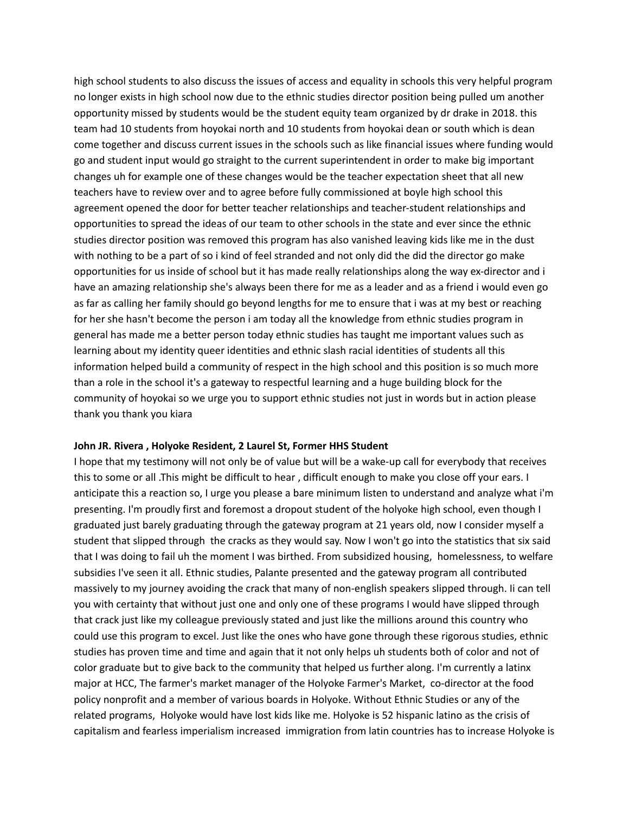high school students to also discuss the issues of access and equality in schools this very helpful program no longer exists in high school now due to the ethnic studies director position being pulled um another opportunity missed by students would be the student equity team organized by dr drake in 2018. this team had 10 students from hoyokai north and 10 students from hoyokai dean or south which is dean come together and discuss current issues in the schools such as like financial issues where funding would go and student input would go straight to the current superintendent in order to make big important changes uh for example one of these changes would be the teacher expectation sheet that all new teachers have to review over and to agree before fully commissioned at boyle high school this agreement opened the door for better teacher relationships and teacher-student relationships and opportunities to spread the ideas of our team to other schools in the state and ever since the ethnic studies director position was removed this program has also vanished leaving kids like me in the dust with nothing to be a part of so i kind of feel stranded and not only did the did the director go make opportunities for us inside of school but it has made really relationships along the way ex-director and i have an amazing relationship she's always been there for me as a leader and as a friend i would even go as far as calling her family should go beyond lengths for me to ensure that i was at my best or reaching for her she hasn't become the person i am today all the knowledge from ethnic studies program in general has made me a better person today ethnic studies has taught me important values such as learning about my identity queer identities and ethnic slash racial identities of students all this information helped build a community of respect in the high school and this position is so much more than a role in the school it's a gateway to respectful learning and a huge building block for the community of hoyokai so we urge you to support ethnic studies not just in words but in action please thank you thank you kiara

#### **John JR. Rivera , Holyoke Resident, 2 Laurel St, Former HHS Student**

I hope that my testimony will not only be of value but will be a wake-up call for everybody that receives this to some or all .This might be difficult to hear , difficult enough to make you close off your ears. I anticipate this a reaction so, I urge you please a bare minimum listen to understand and analyze what i'm presenting. I'm proudly first and foremost a dropout student of the holyoke high school, even though I graduated just barely graduating through the gateway program at 21 years old, now I consider myself a student that slipped through the cracks as they would say. Now I won't go into the statistics that six said that I was doing to fail uh the moment I was birthed. From subsidized housing, homelessness, to welfare subsidies I've seen it all. Ethnic studies, Palante presented and the gateway program all contributed massively to my journey avoiding the crack that many of non-english speakers slipped through. Ii can tell you with certainty that without just one and only one of these programs I would have slipped through that crack just like my colleague previously stated and just like the millions around this country who could use this program to excel. Just like the ones who have gone through these rigorous studies, ethnic studies has proven time and time and again that it not only helps uh students both of color and not of color graduate but to give back to the community that helped us further along. I'm currently a latinx major at HCC, The farmer's market manager of the Holyoke Farmer's Market, co-director at the food policy nonprofit and a member of various boards in Holyoke. Without Ethnic Studies or any of the related programs, Holyoke would have lost kids like me. Holyoke is 52 hispanic latino as the crisis of capitalism and fearless imperialism increased immigration from latin countries has to increase Holyoke is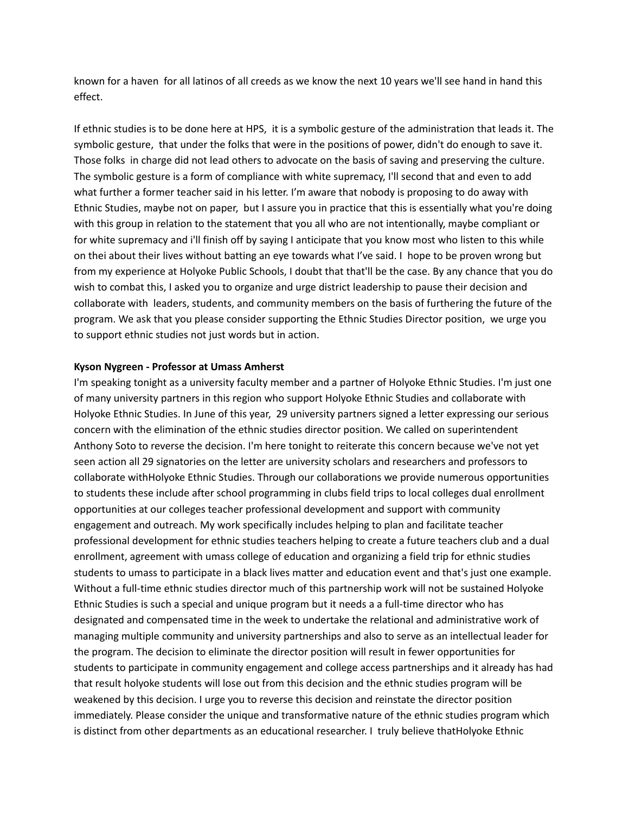known for a haven for all latinos of all creeds as we know the next 10 years we'll see hand in hand this effect.

If ethnic studies is to be done here at HPS, it is a symbolic gesture of the administration that leads it. The symbolic gesture, that under the folks that were in the positions of power, didn't do enough to save it. Those folks in charge did not lead others to advocate on the basis of saving and preserving the culture. The symbolic gesture is a form of compliance with white supremacy, I'll second that and even to add what further a former teacher said in his letter. I'm aware that nobody is proposing to do away with Ethnic Studies, maybe not on paper, but I assure you in practice that this is essentially what you're doing with this group in relation to the statement that you all who are not intentionally, maybe compliant or for white supremacy and i'll finish off by saying I anticipate that you know most who listen to this while on thei about their lives without batting an eye towards what I've said. I hope to be proven wrong but from my experience at Holyoke Public Schools, I doubt that that'll be the case. By any chance that you do wish to combat this, I asked you to organize and urge district leadership to pause their decision and collaborate with leaders, students, and community members on the basis of furthering the future of the program. We ask that you please consider supporting the Ethnic Studies Director position, we urge you to support ethnic studies not just words but in action.

#### **Kyson Nygreen - Professor at Umass Amherst**

I'm speaking tonight as a university faculty member and a partner of Holyoke Ethnic Studies. I'm just one of many university partners in this region who support Holyoke Ethnic Studies and collaborate with Holyoke Ethnic Studies. In June of this year, 29 university partners signed a letter expressing our serious concern with the elimination of the ethnic studies director position. We called on superintendent Anthony Soto to reverse the decision. I'm here tonight to reiterate this concern because we've not yet seen action all 29 signatories on the letter are university scholars and researchers and professors to collaborate withHolyoke Ethnic Studies. Through our collaborations we provide numerous opportunities to students these include after school programming in clubs field trips to local colleges dual enrollment opportunities at our colleges teacher professional development and support with community engagement and outreach. My work specifically includes helping to plan and facilitate teacher professional development for ethnic studies teachers helping to create a future teachers club and a dual enrollment, agreement with umass college of education and organizing a field trip for ethnic studies students to umass to participate in a black lives matter and education event and that's just one example. Without a full-time ethnic studies director much of this partnership work will not be sustained Holyoke Ethnic Studies is such a special and unique program but it needs a a full-time director who has designated and compensated time in the week to undertake the relational and administrative work of managing multiple community and university partnerships and also to serve as an intellectual leader for the program. The decision to eliminate the director position will result in fewer opportunities for students to participate in community engagement and college access partnerships and it already has had that result holyoke students will lose out from this decision and the ethnic studies program will be weakened by this decision. I urge you to reverse this decision and reinstate the director position immediately. Please consider the unique and transformative nature of the ethnic studies program which is distinct from other departments as an educational researcher. I truly believe thatHolyoke Ethnic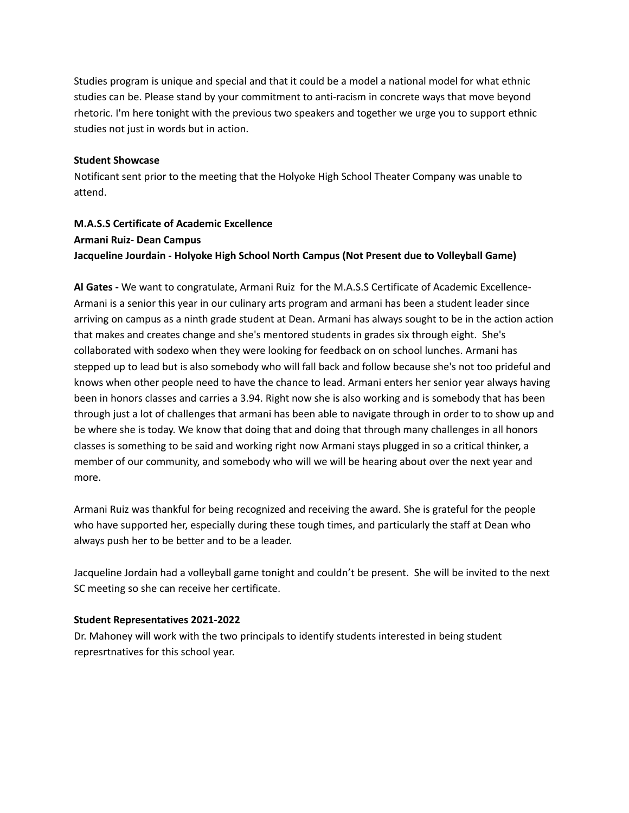Studies program is unique and special and that it could be a model a national model for what ethnic studies can be. Please stand by your commitment to anti-racism in concrete ways that move beyond rhetoric. I'm here tonight with the previous two speakers and together we urge you to support ethnic studies not just in words but in action.

### **Student Showcase**

Notificant sent prior to the meeting that the Holyoke High School Theater Company was unable to attend.

# **M.A.S.S Certificate of Academic Excellence Armani Ruiz- Dean Campus Jacqueline Jourdain - Holyoke High School North Campus (Not Present due to Volleyball Game)**

**Al Gates -** We want to congratulate, Armani Ruiz for the M.A.S.S Certificate of Academic Excellence-Armani is a senior this year in our culinary arts program and armani has been a student leader since arriving on campus as a ninth grade student at Dean. Armani has always sought to be in the action action that makes and creates change and she's mentored students in grades six through eight. She's collaborated with sodexo when they were looking for feedback on on school lunches. Armani has stepped up to lead but is also somebody who will fall back and follow because she's not too prideful and knows when other people need to have the chance to lead. Armani enters her senior year always having been in honors classes and carries a 3.94. Right now she is also working and is somebody that has been through just a lot of challenges that armani has been able to navigate through in order to to show up and be where she is today. We know that doing that and doing that through many challenges in all honors classes is something to be said and working right now Armani stays plugged in so a critical thinker, a member of our community, and somebody who will we will be hearing about over the next year and more.

Armani Ruiz was thankful for being recognized and receiving the award. She is grateful for the people who have supported her, especially during these tough times, and particularly the staff at Dean who always push her to be better and to be a leader.

Jacqueline Jordain had a volleyball game tonight and couldn't be present. She will be invited to the next SC meeting so she can receive her certificate.

## **Student Representatives 2021-2022**

Dr. Mahoney will work with the two principals to identify students interested in being student represrtnatives for this school year.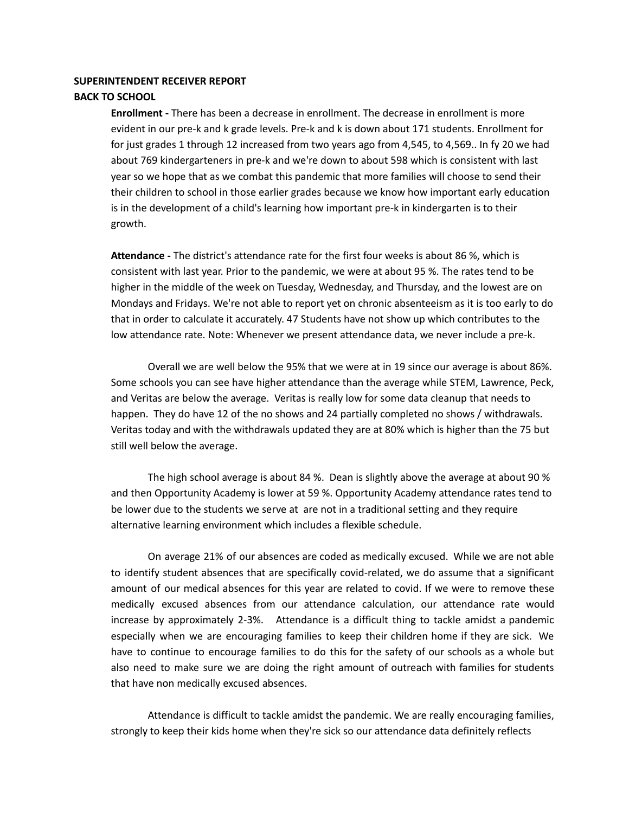#### **SUPERINTENDENT RECEIVER REPORT**

#### **BACK TO SCHOOL**

**Enrollment -** There has been a decrease in enrollment. The decrease in enrollment is more evident in our pre-k and k grade levels. Pre-k and k is down about 171 students. Enrollment for for just grades 1 through 12 increased from two years ago from 4,545, to 4,569.. In fy 20 we had about 769 kindergarteners in pre-k and we're down to about 598 which is consistent with last year so we hope that as we combat this pandemic that more families will choose to send their their children to school in those earlier grades because we know how important early education is in the development of a child's learning how important pre-k in kindergarten is to their growth.

**Attendance -** The district's attendance rate for the first four weeks is about 86 %, which is consistent with last year. Prior to the pandemic, we were at about 95 %. The rates tend to be higher in the middle of the week on Tuesday, Wednesday, and Thursday, and the lowest are on Mondays and Fridays. We're not able to report yet on chronic absenteeism as it is too early to do that in order to calculate it accurately. 47 Students have not show up which contributes to the low attendance rate. Note: Whenever we present attendance data, we never include a pre-k.

Overall we are well below the 95% that we were at in 19 since our average is about 86%. Some schools you can see have higher attendance than the average while STEM, Lawrence, Peck, and Veritas are below the average. Veritas is really low for some data cleanup that needs to happen. They do have 12 of the no shows and 24 partially completed no shows / withdrawals. Veritas today and with the withdrawals updated they are at 80% which is higher than the 75 but still well below the average.

The high school average is about 84 %. Dean is slightly above the average at about 90 % and then Opportunity Academy is lower at 59 %. Opportunity Academy attendance rates tend to be lower due to the students we serve at are not in a traditional setting and they require alternative learning environment which includes a flexible schedule.

On average 21% of our absences are coded as medically excused. While we are not able to identify student absences that are specifically covid-related, we do assume that a significant amount of our medical absences for this year are related to covid. If we were to remove these medically excused absences from our attendance calculation, our attendance rate would increase by approximately 2-3%. Attendance is a difficult thing to tackle amidst a pandemic especially when we are encouraging families to keep their children home if they are sick. We have to continue to encourage families to do this for the safety of our schools as a whole but also need to make sure we are doing the right amount of outreach with families for students that have non medically excused absences.

Attendance is difficult to tackle amidst the pandemic. We are really encouraging families, strongly to keep their kids home when they're sick so our attendance data definitely reflects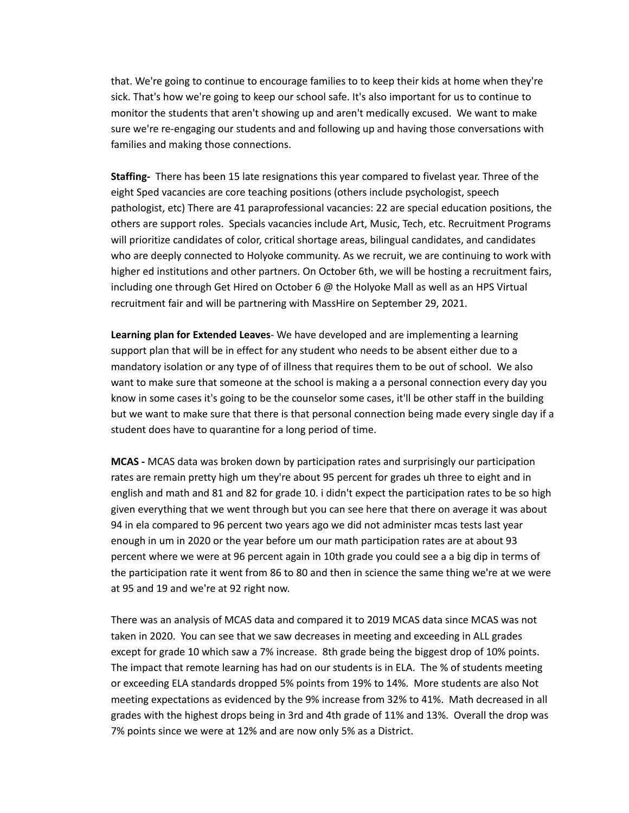that. We're going to continue to encourage families to to keep their kids at home when they're sick. That's how we're going to keep our school safe. It's also important for us to continue to monitor the students that aren't showing up and aren't medically excused. We want to make sure we're re-engaging our students and and following up and having those conversations with families and making those connections.

**Staffing-** There has been 15 late resignations this year compared to fivelast year. Three of the eight Sped vacancies are core teaching positions (others include psychologist, speech pathologist, etc) There are 41 paraprofessional vacancies: 22 are special education positions, the others are support roles. Specials vacancies include Art, Music, Tech, etc. Recruitment Programs will prioritize candidates of color, critical shortage areas, bilingual candidates, and candidates who are deeply connected to Holyoke community. As we recruit, we are continuing to work with higher ed institutions and other partners. On October 6th, we will be hosting a recruitment fairs, including one through Get Hired on October 6 @ the Holyoke Mall as well as an HPS Virtual recruitment fair and will be partnering with MassHire on September 29, 2021.

**Learning plan for Extended Leaves**- We have developed and are implementing a learning support plan that will be in effect for any student who needs to be absent either due to a mandatory isolation or any type of of illness that requires them to be out of school. We also want to make sure that someone at the school is making a a personal connection every day you know in some cases it's going to be the counselor some cases, it'll be other staff in the building but we want to make sure that there is that personal connection being made every single day if a student does have to quarantine for a long period of time.

**MCAS -** MCAS data was broken down by participation rates and surprisingly our participation rates are remain pretty high um they're about 95 percent for grades uh three to eight and in english and math and 81 and 82 for grade 10. i didn't expect the participation rates to be so high given everything that we went through but you can see here that there on average it was about 94 in ela compared to 96 percent two years ago we did not administer mcas tests last year enough in um in 2020 or the year before um our math participation rates are at about 93 percent where we were at 96 percent again in 10th grade you could see a a big dip in terms of the participation rate it went from 86 to 80 and then in science the same thing we're at we were at 95 and 19 and we're at 92 right now.

There was an analysis of MCAS data and compared it to 2019 MCAS data since MCAS was not taken in 2020. You can see that we saw decreases in meeting and exceeding in ALL grades except for grade 10 which saw a 7% increase. 8th grade being the biggest drop of 10% points. The impact that remote learning has had on our students is in ELA. The % of students meeting or exceeding ELA standards dropped 5% points from 19% to 14%. More students are also Not meeting expectations as evidenced by the 9% increase from 32% to 41%. Math decreased in all grades with the highest drops being in 3rd and 4th grade of 11% and 13%. Overall the drop was 7% points since we were at 12% and are now only 5% as a District.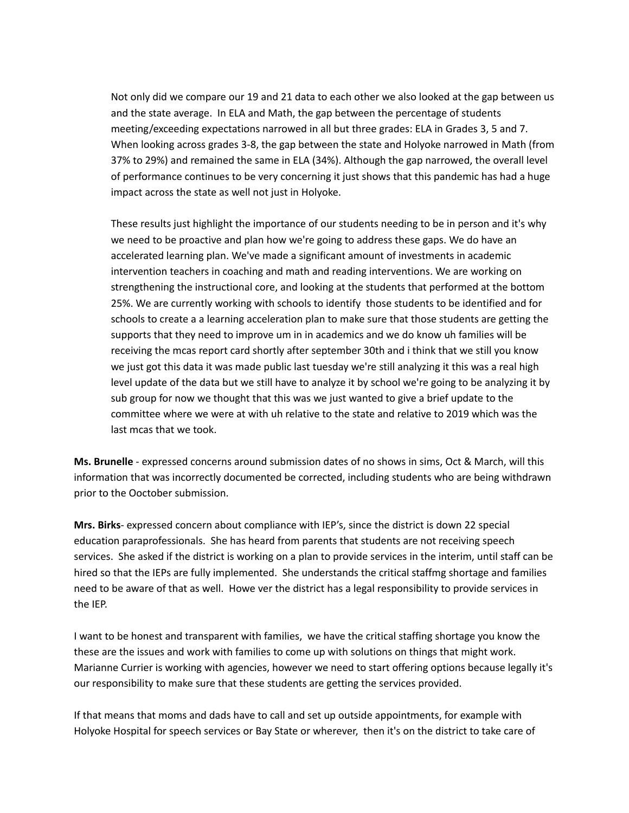Not only did we compare our 19 and 21 data to each other we also looked at the gap between us and the state average. In ELA and Math, the gap between the percentage of students meeting/exceeding expectations narrowed in all but three grades: ELA in Grades 3, 5 and 7. When looking across grades 3-8, the gap between the state and Holyoke narrowed in Math (from 37% to 29%) and remained the same in ELA (34%). Although the gap narrowed, the overall level of performance continues to be very concerning it just shows that this pandemic has had a huge impact across the state as well not just in Holyoke.

These results just highlight the importance of our students needing to be in person and it's why we need to be proactive and plan how we're going to address these gaps. We do have an accelerated learning plan. We've made a significant amount of investments in academic intervention teachers in coaching and math and reading interventions. We are working on strengthening the instructional core, and looking at the students that performed at the bottom 25%. We are currently working with schools to identify those students to be identified and for schools to create a a learning acceleration plan to make sure that those students are getting the supports that they need to improve um in in academics and we do know uh families will be receiving the mcas report card shortly after september 30th and i think that we still you know we just got this data it was made public last tuesday we're still analyzing it this was a real high level update of the data but we still have to analyze it by school we're going to be analyzing it by sub group for now we thought that this was we just wanted to give a brief update to the committee where we were at with uh relative to the state and relative to 2019 which was the last mcas that we took.

**Ms. Brunelle** - expressed concerns around submission dates of no shows in sims, Oct & March, will this information that was incorrectly documented be corrected, including students who are being withdrawn prior to the Ooctober submission.

**Mrs. Birks**- expressed concern about compliance with IEP's, since the district is down 22 special education paraprofessionals. She has heard from parents that students are not receiving speech services. She asked if the district is working on a plan to provide services in the interim, until staff can be hired so that the IEPs are fully implemented. She understands the critical staffmg shortage and families need to be aware of that as well. Howe ver the district has a legal responsibility to provide services in the IEP.

I want to be honest and transparent with families, we have the critical staffing shortage you know the these are the issues and work with families to come up with solutions on things that might work. Marianne Currier is working with agencies, however we need to start offering options because legally it's our responsibility to make sure that these students are getting the services provided.

If that means that moms and dads have to call and set up outside appointments, for example with Holyoke Hospital for speech services or Bay State or wherever, then it's on the district to take care of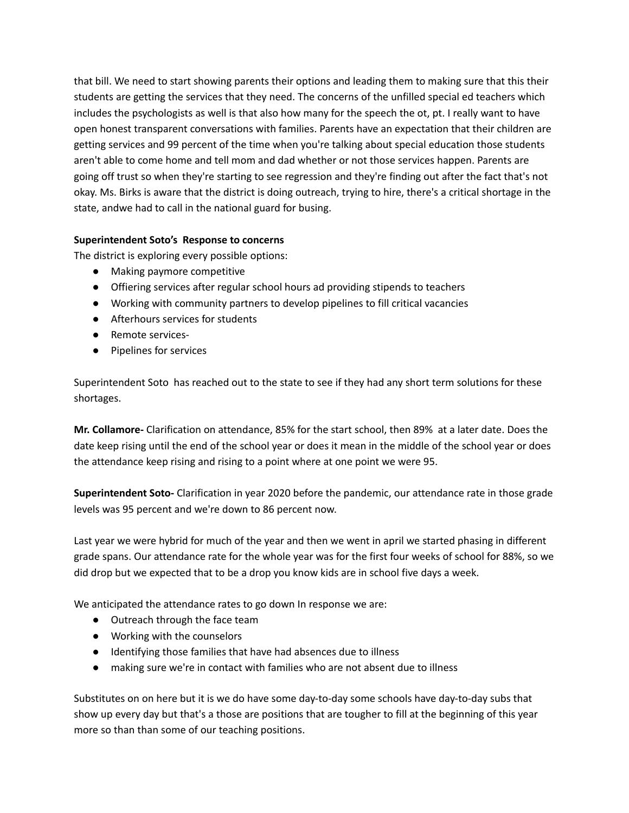that bill. We need to start showing parents their options and leading them to making sure that this their students are getting the services that they need. The concerns of the unfilled special ed teachers which includes the psychologists as well is that also how many for the speech the ot, pt. I really want to have open honest transparent conversations with families. Parents have an expectation that their children are getting services and 99 percent of the time when you're talking about special education those students aren't able to come home and tell mom and dad whether or not those services happen. Parents are going off trust so when they're starting to see regression and they're finding out after the fact that's not okay. Ms. Birks is aware that the district is doing outreach, trying to hire, there's a critical shortage in the state, andwe had to call in the national guard for busing.

# **Superintendent Soto's Response to concerns**

The district is exploring every possible options:

- Making paymore competitive
- Offiering services after regular school hours ad providing stipends to teachers
- Working with community partners to develop pipelines to fill critical vacancies
- Afterhours services for students
- Remote services-
- Pipelines for services

Superintendent Soto has reached out to the state to see if they had any short term solutions for these shortages.

**Mr. Collamore-** Clarification on attendance, 85% for the start school, then 89% at a later date. Does the date keep rising until the end of the school year or does it mean in the middle of the school year or does the attendance keep rising and rising to a point where at one point we were 95.

**Superintendent Soto-** Clarification in year 2020 before the pandemic, our attendance rate in those grade levels was 95 percent and we're down to 86 percent now.

Last year we were hybrid for much of the year and then we went in april we started phasing in different grade spans. Our attendance rate for the whole year was for the first four weeks of school for 88%, so we did drop but we expected that to be a drop you know kids are in school five days a week.

We anticipated the attendance rates to go down In response we are:

- Outreach through the face team
- Working with the counselors
- Identifying those families that have had absences due to illness
- making sure we're in contact with families who are not absent due to illness

Substitutes on on here but it is we do have some day-to-day some schools have day-to-day subs that show up every day but that's a those are positions that are tougher to fill at the beginning of this year more so than than some of our teaching positions.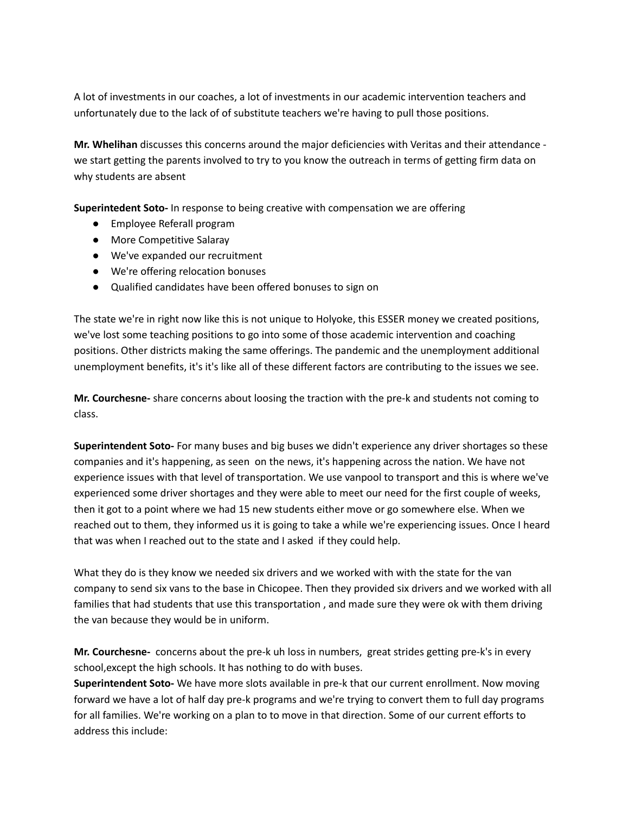A lot of investments in our coaches, a lot of investments in our academic intervention teachers and unfortunately due to the lack of of substitute teachers we're having to pull those positions.

**Mr. Whelihan** discusses this concerns around the major deficiencies with Veritas and their attendance we start getting the parents involved to try to you know the outreach in terms of getting firm data on why students are absent

**Superintedent Soto-** In response to being creative with compensation we are offering

- Employee Referall program
- More Competitive Salaray
- We've expanded our recruitment
- We're offering relocation bonuses
- Qualified candidates have been offered bonuses to sign on

The state we're in right now like this is not unique to Holyoke, this ESSER money we created positions, we've lost some teaching positions to go into some of those academic intervention and coaching positions. Other districts making the same offerings. The pandemic and the unemployment additional unemployment benefits, it's it's like all of these different factors are contributing to the issues we see.

**Mr. Courchesne-** share concerns about loosing the traction with the pre-k and students not coming to class.

**Superintendent Soto-** For many buses and big buses we didn't experience any driver shortages so these companies and it's happening, as seen on the news, it's happening across the nation. We have not experience issues with that level of transportation. We use vanpool to transport and this is where we've experienced some driver shortages and they were able to meet our need for the first couple of weeks, then it got to a point where we had 15 new students either move or go somewhere else. When we reached out to them, they informed us it is going to take a while we're experiencing issues. Once I heard that was when I reached out to the state and I asked if they could help.

What they do is they know we needed six drivers and we worked with with the state for the van company to send six vans to the base in Chicopee. Then they provided six drivers and we worked with all families that had students that use this transportation , and made sure they were ok with them driving the van because they would be in uniform.

**Mr. Courchesne-** concerns about the pre-k uh loss in numbers, great strides getting pre-k's in every school,except the high schools. It has nothing to do with buses.

**Superintendent Soto-** We have more slots available in pre-k that our current enrollment. Now moving forward we have a lot of half day pre-k programs and we're trying to convert them to full day programs for all families. We're working on a plan to to move in that direction. Some of our current efforts to address this include: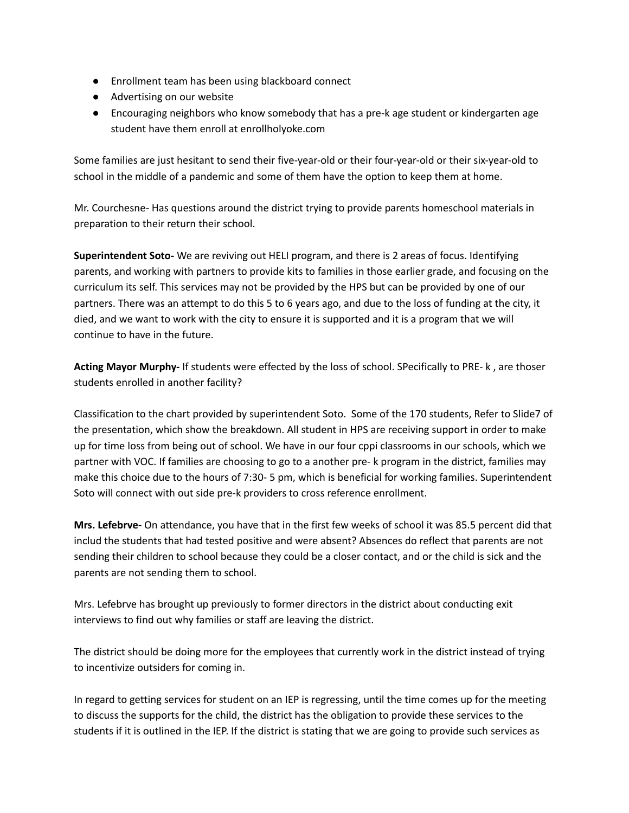- Enrollment team has been using blackboard connect
- Advertising on our website
- Encouraging neighbors who know somebody that has a pre-k age student or kindergarten age student have them enroll at enrollholyoke.com

Some families are just hesitant to send their five-year-old or their four-year-old or their six-year-old to school in the middle of a pandemic and some of them have the option to keep them at home.

Mr. Courchesne- Has questions around the district trying to provide parents homeschool materials in preparation to their return their school.

**Superintendent Soto-** We are reviving out HELI program, and there is 2 areas of focus. Identifying parents, and working with partners to provide kits to families in those earlier grade, and focusing on the curriculum its self. This services may not be provided by the HPS but can be provided by one of our partners. There was an attempt to do this 5 to 6 years ago, and due to the loss of funding at the city, it died, and we want to work with the city to ensure it is supported and it is a program that we will continue to have in the future.

**Acting Mayor Murphy-** If students were effected by the loss of school. SPecifically to PRE- k , are thoser students enrolled in another facility?

Classification to the chart provided by superintendent Soto. Some of the 170 students, Refer to Slide7 of the presentation, which show the breakdown. All student in HPS are receiving support in order to make up for time loss from being out of school. We have in our four cppi classrooms in our schools, which we partner with VOC. If families are choosing to go to a another pre- k program in the district, families may make this choice due to the hours of 7:30- 5 pm, which is beneficial for working families. Superintendent Soto will connect with out side pre-k providers to cross reference enrollment.

**Mrs. Lefebrve-** On attendance, you have that in the first few weeks of school it was 85.5 percent did that includ the students that had tested positive and were absent? Absences do reflect that parents are not sending their children to school because they could be a closer contact, and or the child is sick and the parents are not sending them to school.

Mrs. Lefebrve has brought up previously to former directors in the district about conducting exit interviews to find out why families or staff are leaving the district.

The district should be doing more for the employees that currently work in the district instead of trying to incentivize outsiders for coming in.

In regard to getting services for student on an IEP is regressing, until the time comes up for the meeting to discuss the supports for the child, the district has the obligation to provide these services to the students if it is outlined in the IEP. If the district is stating that we are going to provide such services as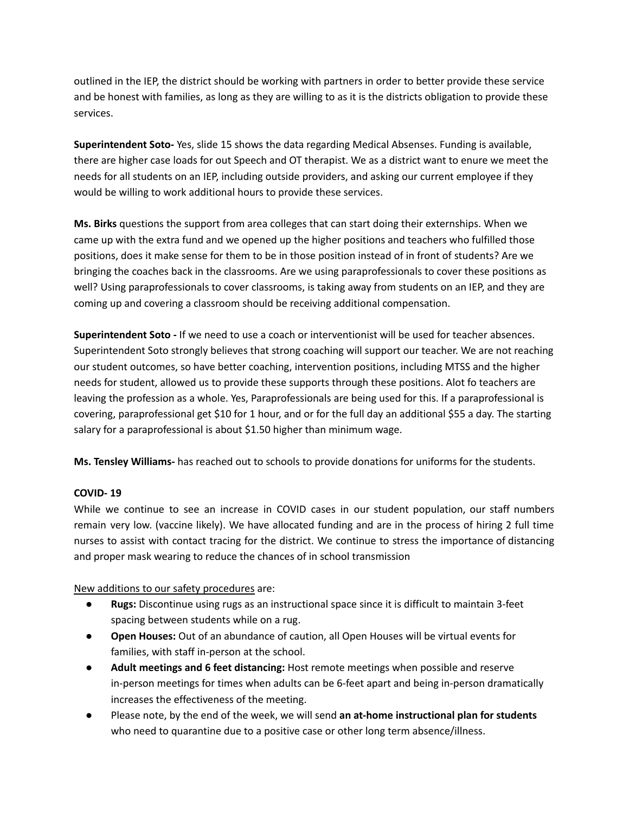outlined in the IEP, the district should be working with partners in order to better provide these service and be honest with families, as long as they are willing to as it is the districts obligation to provide these services.

**Superintendent Soto-** Yes, slide 15 shows the data regarding Medical Absenses. Funding is available, there are higher case loads for out Speech and OT therapist. We as a district want to enure we meet the needs for all students on an IEP, including outside providers, and asking our current employee if they would be willing to work additional hours to provide these services.

**Ms. Birks** questions the support from area colleges that can start doing their externships. When we came up with the extra fund and we opened up the higher positions and teachers who fulfilled those positions, does it make sense for them to be in those position instead of in front of students? Are we bringing the coaches back in the classrooms. Are we using paraprofessionals to cover these positions as well? Using paraprofessionals to cover classrooms, is taking away from students on an IEP, and they are coming up and covering a classroom should be receiving additional compensation.

**Superintendent Soto -** If we need to use a coach or interventionist will be used for teacher absences. Superintendent Soto strongly believes that strong coaching will support our teacher. We are not reaching our student outcomes, so have better coaching, intervention positions, including MTSS and the higher needs for student, allowed us to provide these supports through these positions. Alot fo teachers are leaving the profession as a whole. Yes, Paraprofessionals are being used for this. If a paraprofessional is covering, paraprofessional get \$10 for 1 hour, and or for the full day an additional \$55 a day. The starting salary for a paraprofessional is about \$1.50 higher than minimum wage.

**Ms. Tensley Williams-** has reached out to schools to provide donations for uniforms for the students.

## **COVID- 19**

While we continue to see an increase in COVID cases in our student population, our staff numbers remain very low. (vaccine likely). We have allocated funding and are in the process of hiring 2 full time nurses to assist with contact tracing for the district. We continue to stress the importance of distancing and proper mask wearing to reduce the chances of in school transmission

New additions to our safety procedures are:

- **● Rugs:** Discontinue using rugs as an instructional space since it is difficult to maintain 3-feet spacing between students while on a rug.
- **● Open Houses:** Out of an abundance of caution, all Open Houses will be virtual events for families, with staff in-person at the school.
- **● Adult meetings and 6 feet distancing:** Host remote meetings when possible and reserve in-person meetings for times when adults can be 6-feet apart and being in-person dramatically increases the effectiveness of the meeting.
- **●** Please note, by the end of the week, we will send **an at-home instructional plan for students** who need to quarantine due to a positive case or other long term absence/illness.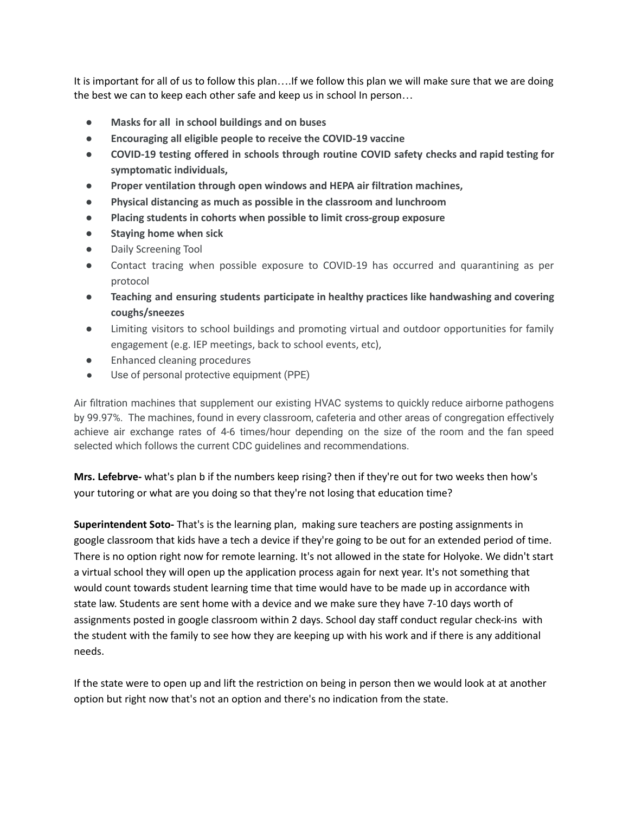It is important for all of us to follow this plan….If we follow this plan we will make sure that we are doing the best we can to keep each other safe and keep us in school In person…

- **● Masks for all in school buildings and on buses**
- **● Encouraging all eligible people to receive the COVID-19 vaccine**
- **● COVID-19 testing offered in schools through routine COVID safety checks and rapid testing for symptomatic individuals,**
- **● Proper ventilation through open windows and HEPA air filtration machines,**
- **● Physical distancing as much as possible in the classroom and lunchroom**
- **● Placing students in cohorts when possible to limit cross-group exposure**
- **● Staying home when sick**
- Daily Screening Tool
- Contact tracing when possible exposure to COVID-19 has occurred and quarantining as per protocol
- **● Teaching and ensuring students participate in healthy practices like handwashing and covering coughs/sneezes**
- Limiting visitors to school buildings and promoting virtual and outdoor opportunities for family engagement (e.g. IEP meetings, back to school events, etc),
- **Enhanced cleaning procedures**
- Use of personal protective equipment (PPE)

Air filtration machines that supplement our existing HVAC systems to quickly reduce airborne pathogens by 99.97%. The machines, found in every classroom, cafeteria and other areas of congregation effectively achieve air exchange rates of 4-6 times/hour depending on the size of the room and the fan speed selected which follows the current CDC guidelines and recommendations.

**Mrs. Lefebrve-** what's plan b if the numbers keep rising? then if they're out for two weeks then how's your tutoring or what are you doing so that they're not losing that education time?

**Superintendent Soto-** That's is the learning plan, making sure teachers are posting assignments in google classroom that kids have a tech a device if they're going to be out for an extended period of time. There is no option right now for remote learning. It's not allowed in the state for Holyoke. We didn't start a virtual school they will open up the application process again for next year. It's not something that would count towards student learning time that time would have to be made up in accordance with state law. Students are sent home with a device and we make sure they have 7-10 days worth of assignments posted in google classroom within 2 days. School day staff conduct regular check-ins with the student with the family to see how they are keeping up with his work and if there is any additional needs.

If the state were to open up and lift the restriction on being in person then we would look at at another option but right now that's not an option and there's no indication from the state.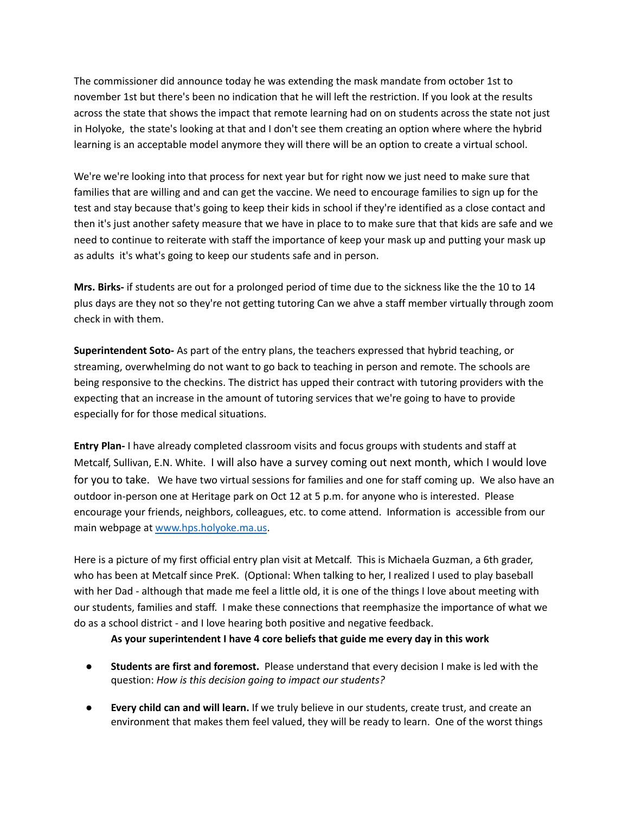The commissioner did announce today he was extending the mask mandate from october 1st to november 1st but there's been no indication that he will left the restriction. If you look at the results across the state that shows the impact that remote learning had on on students across the state not just in Holyoke, the state's looking at that and I don't see them creating an option where where the hybrid learning is an acceptable model anymore they will there will be an option to create a virtual school.

We're we're looking into that process for next year but for right now we just need to make sure that families that are willing and and can get the vaccine. We need to encourage families to sign up for the test and stay because that's going to keep their kids in school if they're identified as a close contact and then it's just another safety measure that we have in place to to make sure that that kids are safe and we need to continue to reiterate with staff the importance of keep your mask up and putting your mask up as adults it's what's going to keep our students safe and in person.

**Mrs. Birks-** if students are out for a prolonged period of time due to the sickness like the the 10 to 14 plus days are they not so they're not getting tutoring Can we ahve a staff member virtually through zoom check in with them.

**Superintendent Soto-** As part of the entry plans, the teachers expressed that hybrid teaching, or streaming, overwhelming do not want to go back to teaching in person and remote. The schools are being responsive to the checkins. The district has upped their contract with tutoring providers with the expecting that an increase in the amount of tutoring services that we're going to have to provide especially for for those medical situations.

**Entry Plan-** I have already completed classroom visits and focus groups with students and staff at Metcalf, Sullivan, E.N. White. I will also have a survey coming out next month, which I would love for you to take. We have two virtual sessions for families and one for staff coming up. We also have an outdoor in-person one at Heritage park on Oct 12 at 5 p.m. for anyone who is interested. Please encourage your friends, neighbors, colleagues, etc. to come attend. Information is accessible from our main webpage at [www.hps.holyoke.ma.us](http://www.hps.holyoke.ma.us).

Here is a picture of my first official entry plan visit at Metcalf. This is Michaela Guzman, a 6th grader, who has been at Metcalf since PreK. (Optional: When talking to her, I realized I used to play baseball with her Dad - although that made me feel a little old, it is one of the things I love about meeting with our students, families and staff. I make these connections that reemphasize the importance of what we do as a school district - and I love hearing both positive and negative feedback.

# **As your superintendent I have 4 core beliefs that guide me every day in this work**

- **Students are first and foremost.** Please understand that every decision I make is led with the question: *How is this decision going to impact our students?*
- **Every child can and will learn.** If we truly believe in our students, create trust, and create an environment that makes them feel valued, they will be ready to learn. One of the worst things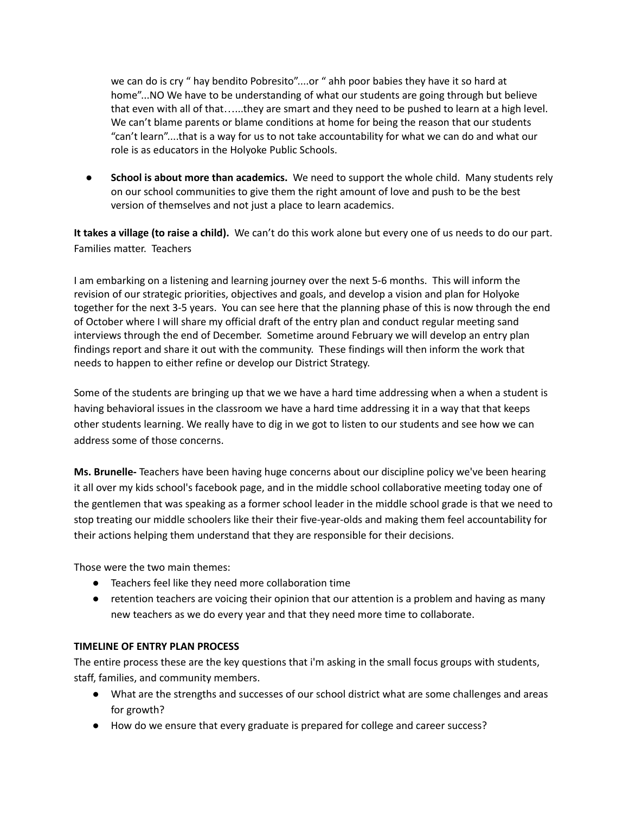we can do is cry " hay bendito Pobresito"....or " ahh poor babies they have it so hard at home"...NO We have to be understanding of what our students are going through but believe that even with all of that…...they are smart and they need to be pushed to learn at a high level. We can't blame parents or blame conditions at home for being the reason that our students "can't learn"....that is a way for us to not take accountability for what we can do and what our role is as educators in the Holyoke Public Schools.

● **School is about more than academics.** We need to support the whole child. Many students rely on our school communities to give them the right amount of love and push to be the best version of themselves and not just a place to learn academics.

**It takes a village (to raise a child).** We can't do this work alone but every one of us needs to do our part. Families matter. Teachers

I am embarking on a listening and learning journey over the next 5-6 months. This will inform the revision of our strategic priorities, objectives and goals, and develop a vision and plan for Holyoke together for the next 3-5 years. You can see here that the planning phase of this is now through the end of October where I will share my official draft of the entry plan and conduct regular meeting sand interviews through the end of December. Sometime around February we will develop an entry plan findings report and share it out with the community. These findings will then inform the work that needs to happen to either refine or develop our District Strategy.

Some of the students are bringing up that we we have a hard time addressing when a when a student is having behavioral issues in the classroom we have a hard time addressing it in a way that that keeps other students learning. We really have to dig in we got to listen to our students and see how we can address some of those concerns.

**Ms. Brunelle-** Teachers have been having huge concerns about our discipline policy we've been hearing it all over my kids school's facebook page, and in the middle school collaborative meeting today one of the gentlemen that was speaking as a former school leader in the middle school grade is that we need to stop treating our middle schoolers like their their five-year-olds and making them feel accountability for their actions helping them understand that they are responsible for their decisions.

Those were the two main themes:

- Teachers feel like they need more collaboration time
- retention teachers are voicing their opinion that our attention is a problem and having as many new teachers as we do every year and that they need more time to collaborate.

## **TIMELINE OF ENTRY PLAN PROCESS**

The entire process these are the key questions that i'm asking in the small focus groups with students, staff, families, and community members.

- What are the strengths and successes of our school district what are some challenges and areas for growth?
- How do we ensure that every graduate is prepared for college and career success?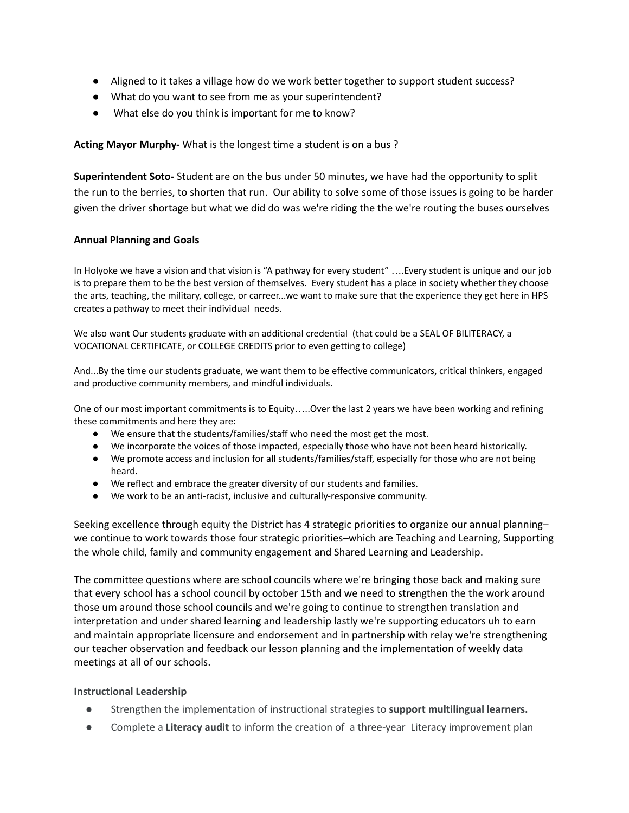- Aligned to it takes a village how do we work better together to support student success?
- What do you want to see from me as your superintendent?
- What else do you think is important for me to know?

**Acting Mayor Murphy-** What is the longest time a student is on a bus ?

**Superintendent Soto-** Student are on the bus under 50 minutes, we have had the opportunity to split the run to the berries, to shorten that run. Our ability to solve some of those issues is going to be harder given the driver shortage but what we did do was we're riding the the we're routing the buses ourselves

## **Annual Planning and Goals**

In Holyoke we have a vision and that vision is "A pathway for every student" ….Every student is unique and our job is to prepare them to be the best version of themselves. Every student has a place in society whether they choose the arts, teaching, the military, college, or carreer...we want to make sure that the experience they get here in HPS creates a pathway to meet their individual needs.

We also want Our students graduate with an additional credential (that could be a SEAL OF BILITERACY, a VOCATIONAL CERTIFICATE, or COLLEGE CREDITS prior to even getting to college)

And...By the time our students graduate, we want them to be effective communicators, critical thinkers, engaged and productive community members, and mindful individuals.

One of our most important commitments is to Equity…..Over the last 2 years we have been working and refining these commitments and here they are:

- We ensure that the students/families/staff who need the most get the most.
- We incorporate the voices of those impacted, especially those who have not been heard historically.
- We promote access and inclusion for all students/families/staff, especially for those who are not being heard.
- We reflect and embrace the greater diversity of our students and families.
- We work to be an anti-racist, inclusive and culturally-responsive community.

Seeking excellence through equity the District has 4 strategic priorities to organize our annual planning– we continue to work towards those four strategic priorities–which are Teaching and Learning, Supporting the whole child, family and community engagement and Shared Learning and Leadership.

The committee questions where are school councils where we're bringing those back and making sure that every school has a school council by october 15th and we need to strengthen the the work around those um around those school councils and we're going to continue to strengthen translation and interpretation and under shared learning and leadership lastly we're supporting educators uh to earn and maintain appropriate licensure and endorsement and in partnership with relay we're strengthening our teacher observation and feedback our lesson planning and the implementation of weekly data meetings at all of our schools.

## **Instructional Leadership**

- *●* Strengthen the implementation of instructional strategies to **support multilingual learners.**
- **●** Complete a **Literacy audit** to inform the creation of a three-year Literacy improvement plan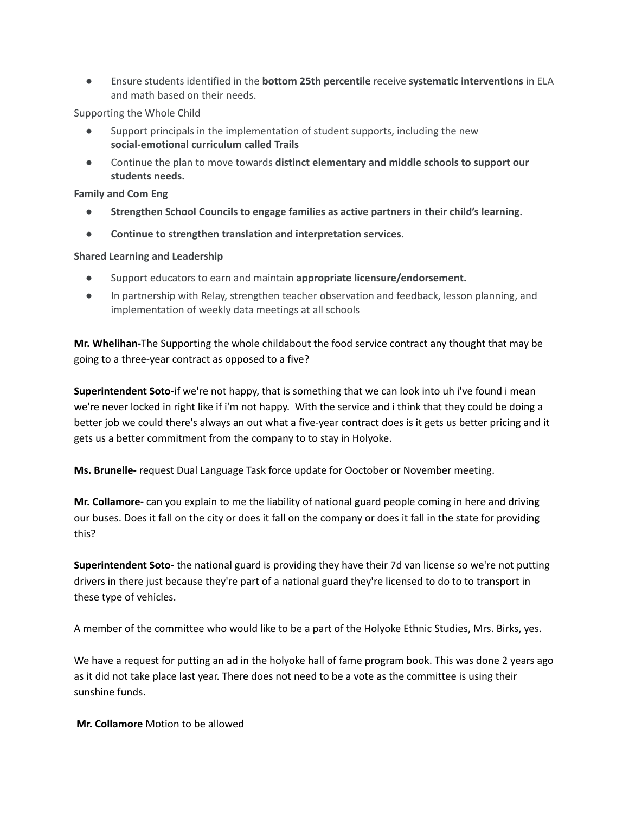**●** Ensure students identified in the **bottom 25th percentile** receive **systematic interventions** in ELA and math based on their needs.

Supporting the Whole Child

- Support principals in the implementation of student supports, including the new **social-emotional curriculum called Trails**
- Continue the plan to move towards **distinct elementary and middle schools to support our students needs.**

**Family and Com Eng**

- **● Strengthen School Councils to engage families as active partners in their child's learning.**
- **Continue to strengthen translation and interpretation services.**

### **Shared Learning and Leadership**

- **●** Support educators to earn and maintain **appropriate licensure/endorsement.**
- In partnership with Relay, strengthen teacher observation and feedback, lesson planning, and implementation of weekly data meetings at all schools

**Mr. Whelihan-**The Supporting the whole childabout the food service contract any thought that may be going to a three-year contract as opposed to a five?

**Superintendent Soto-**if we're not happy, that is something that we can look into uh i've found i mean we're never locked in right like if i'm not happy. With the service and i think that they could be doing a better job we could there's always an out what a five-year contract does is it gets us better pricing and it gets us a better commitment from the company to to stay in Holyoke.

**Ms. Brunelle-** request Dual Language Task force update for Ooctober or November meeting.

**Mr. Collamore-** can you explain to me the liability of national guard people coming in here and driving our buses. Does it fall on the city or does it fall on the company or does it fall in the state for providing this?

**Superintendent Soto-** the national guard is providing they have their 7d van license so we're not putting drivers in there just because they're part of a national guard they're licensed to do to to transport in these type of vehicles.

A member of the committee who would like to be a part of the Holyoke Ethnic Studies, Mrs. Birks, yes.

We have a request for putting an ad in the holyoke hall of fame program book. This was done 2 years ago as it did not take place last year. There does not need to be a vote as the committee is using their sunshine funds.

**Mr. Collamore** Motion to be allowed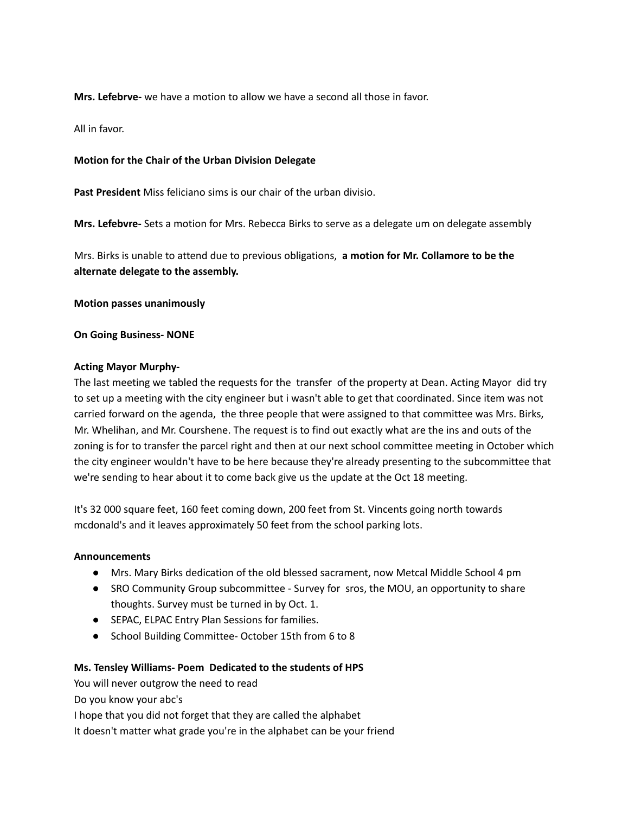**Mrs. Lefebrve-** we have a motion to allow we have a second all those in favor.

All in favor.

### **Motion for the Chair of the Urban Division Delegate**

**Past President** Miss feliciano sims is our chair of the urban divisio.

**Mrs. Lefebvre-** Sets a motion for Mrs. Rebecca Birks to serve as a delegate um on delegate assembly

Mrs. Birks is unable to attend due to previous obligations, **a motion for Mr. Collamore to be the alternate delegate to the assembly.**

**Motion passes unanimously**

#### **On Going Business- NONE**

### **Acting Mayor Murphy-**

The last meeting we tabled the requests for the transfer of the property at Dean. Acting Mayor did try to set up a meeting with the city engineer but i wasn't able to get that coordinated. Since item was not carried forward on the agenda, the three people that were assigned to that committee was Mrs. Birks, Mr. Whelihan, and Mr. Courshene. The request is to find out exactly what are the ins and outs of the zoning is for to transfer the parcel right and then at our next school committee meeting in October which the city engineer wouldn't have to be here because they're already presenting to the subcommittee that we're sending to hear about it to come back give us the update at the Oct 18 meeting.

It's 32 000 square feet, 160 feet coming down, 200 feet from St. Vincents going north towards mcdonald's and it leaves approximately 50 feet from the school parking lots.

#### **Announcements**

- Mrs. Mary Birks dedication of the old blessed sacrament, now Metcal Middle School 4 pm
- SRO Community Group subcommittee Survey for sros, the MOU, an opportunity to share thoughts. Survey must be turned in by Oct. 1.
- SEPAC, ELPAC Entry Plan Sessions for families.
- **●** School Building Committee- October 15th from 6 to 8

## **Ms. Tensley Williams- Poem Dedicated to the students of HPS**

You will never outgrow the need to read Do you know your abc's I hope that you did not forget that they are called the alphabet It doesn't matter what grade you're in the alphabet can be your friend